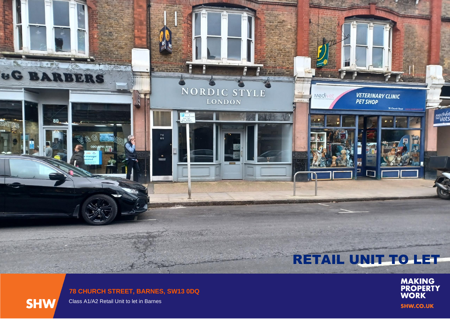## **Replace** L. PEU  $\frac{1}{\sqrt{2}}\sum_{i=1}^{n} \frac{1}{\sqrt{2}}\sum_{i=1}^{n} \frac{1}{\sqrt{2}}\sum_{i=1}^{n} \frac{1}{\sqrt{2}}\sum_{i=1}^{n} \frac{1}{\sqrt{2}}\sum_{i=1}^{n} \frac{1}{\sqrt{2}}\sum_{i=1}^{n} \frac{1}{\sqrt{2}}\sum_{i=1}^{n} \frac{1}{\sqrt{2}}\sum_{i=1}^{n} \frac{1}{\sqrt{2}}\sum_{i=1}^{n} \frac{1}{\sqrt{2}}\sum_{i=1}^{n} \frac{1}{\sqrt{2}}\sum_{i=1}^{n}$ **UG BARBERS** NORDIC STYLE **VETERINARY CLINIC<br>PET SHOP Medivel** LONDON 76 Church Medivel<br>I<sup>HE</sup>Vets 80  $\begin{array}{c} 78 \\ 80 \end{array}$ 020 8741 4114  $\overline{\phantom{a}}$ Þ

## RETAIL UNIT TO LET

**MAKING<br>PROPERTY<br>WORK SHW.CO.UK** 

**78 CHURCH STREET, BARNES, SW13 0DQ**

**SHW** 

Class A1/A2 Retail Unit to let in Barnes